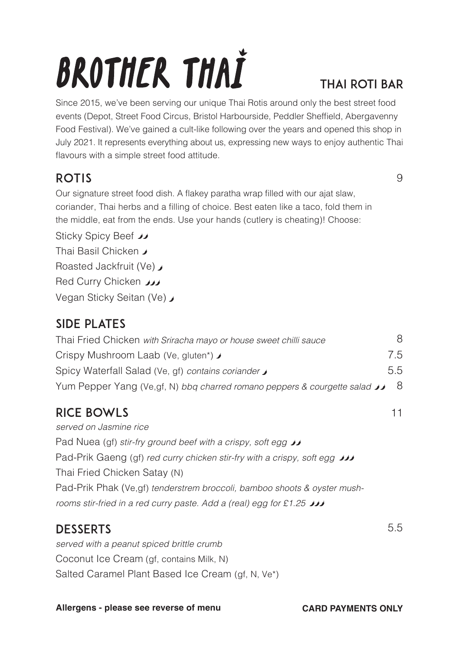# **BROTHER THAI**

### THAI ROTI BAR

Since 2015, we've been serving our unique Thai Rotis around only the best street food events (Depot, Street Food Circus, Bristol Harbourside, Peddler Sheffield, Abergavenny Food Festival). We've gained a cult-like following over the years and opened this shop in July 2021. It represents everything about us, expressing new ways to enjoy authentic Thai flavours with a simple street food attitude.

#### ROTIS

 $\Omega$ 

11

5.5

Our signature street food dish. A flakey paratha wrap filled with our ajat slaw, coriander, Thai herbs and a filling of choice. Best eaten like a taco, fold them in the middle, eat from the ends. Use your hands (cutlery is cheating)! Choose:

Sticky Spicy Beef  $\overline{\nu}$ 

Thai Basil Chicken ♪

Roasted Jackfruit (Ve)

Red Curry Chicken **W** 

Vegan Sticky Seitan (Ve)

### SIDE PLATES

| Thai Fried Chicken with Sriracha mayo or house sweet chilli sauce                 | 8   |
|-----------------------------------------------------------------------------------|-----|
| Crispy Mushroom Laab (Ve. gluten*) ♪                                              | 7.5 |
| Spicy Waterfall Salad (Ve. gf) contains coriander                                 | 5.5 |
| Yum Pepper Yang (Ve,gf, N) bbg charred romano peppers & courgette salad $\bigcup$ | - 8 |

## RICE BOWLS

*served on Jasmine rice* Pad Nuea (gf) *stir-fry ground beef with a crispy, soft egg* Pad-Prik Gaeng (gf) *red curry chicken stir-fry with a crispy, soft egg* Thai Fried Chicken Satay (N) Pad-Prik Phak (Ve,gf) *tenderstrem broccoli, bamboo shoots & oyster mushrooms stir-fried in a red curry paste. Add a (real) egg for £1.25*

#### DESSERTS

*served with a peanut spiced brittle crumb* Coconut Ice Cream (gf, contains Milk, N) Salted Caramel Plant Based Ice Cream (of N, Ve\*)